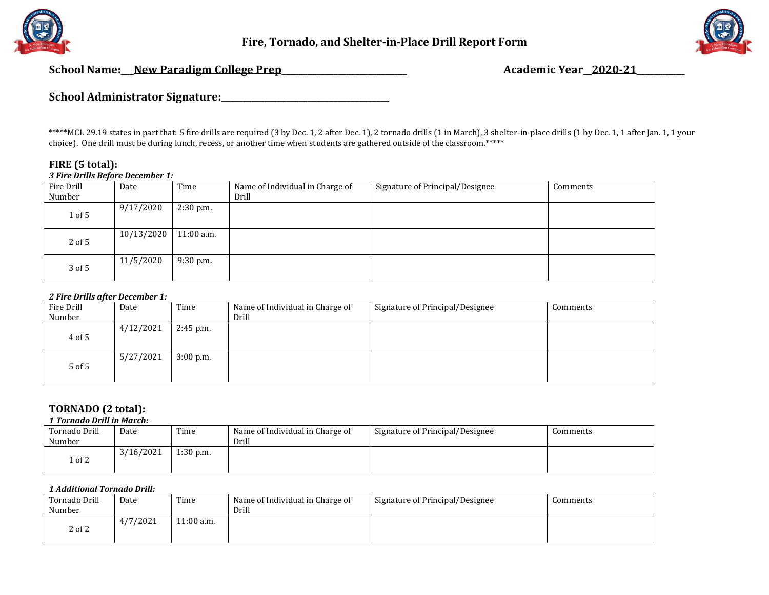

**Fire, Tornado, and Shelter-in-Place Drill Report Form**



**School Name:\_\_\_New Paradigm College Prep\_\_\_\_\_\_\_\_\_\_\_\_\_\_\_\_\_\_\_\_\_\_\_\_\_\_\_\_\_ Academic Year\_\_2020-21\_\_\_\_\_\_\_\_\_\_\_**

**School Administrator Signature:\_\_\_\_\_\_\_\_\_\_\_\_\_\_\_\_\_\_\_\_\_\_\_\_\_\_\_\_\_\_\_\_\_\_\_\_\_\_\_**

\*\*\*\*\*MCL 29.19 states in part that: 5 fire drills are required (3 by Dec. 1, 2 after Dec. 1), 2 tornado drills (1 in March), 3 shelter-in-place drills (1 by Dec. 1, 1 after Jan. 1, 1 your choice). One drill must be during lunch, recess, or another time when students are gathered outside of the classroom.\*\*\*\*\*

#### **FIRE (5 total):**  *3 Fire Drills Before December 1:*

| Fire Drill | Date       | Time         | Name of Individual in Charge of | Signature of Principal/Designee | Comments |
|------------|------------|--------------|---------------------------------|---------------------------------|----------|
| Number     |            |              | Drill                           |                                 |          |
| $1$ of $5$ | 9/17/2020  | $2:30$ p.m.  |                                 |                                 |          |
| $2$ of 5   | 10/13/2020 | $11:00$ a.m. |                                 |                                 |          |
| 3 of 5     | 11/5/2020  | $9:30$ p.m.  |                                 |                                 |          |

### *2 Fire Drills after December 1:*

| Fire Drill<br>Number | Date      | Time        | Name of Individual in Charge of<br>Drill | Signature of Principal/Designee | Comments |
|----------------------|-----------|-------------|------------------------------------------|---------------------------------|----------|
| $4$ of 5             | 4/12/2021 | $2:45$ p.m. |                                          |                                 |          |
| 5 of 5               | 5/27/2021 | $3:00$ p.m. |                                          |                                 |          |

# **TORNADO (2 total):**

*1 Tornado Drill in March:*

| Tornado Drill<br>Number | Date      | Time        | Name of Individual in Charge of<br>Drill | Signature of Principal/Designee | Comments |
|-------------------------|-----------|-------------|------------------------------------------|---------------------------------|----------|
| 1 of 2                  | 3/16/2021 | $1:30$ p.m. |                                          |                                 |          |

### *1 Additional Tornado Drill:*

| Tornado Drill<br>Number | Date     | Time        | Name of Individual in Charge of<br>Drill | Signature of Principal/Designee | Comments |
|-------------------------|----------|-------------|------------------------------------------|---------------------------------|----------|
| 2 of 2                  | 4/7/2021 | $1:00$ a.m. |                                          |                                 |          |